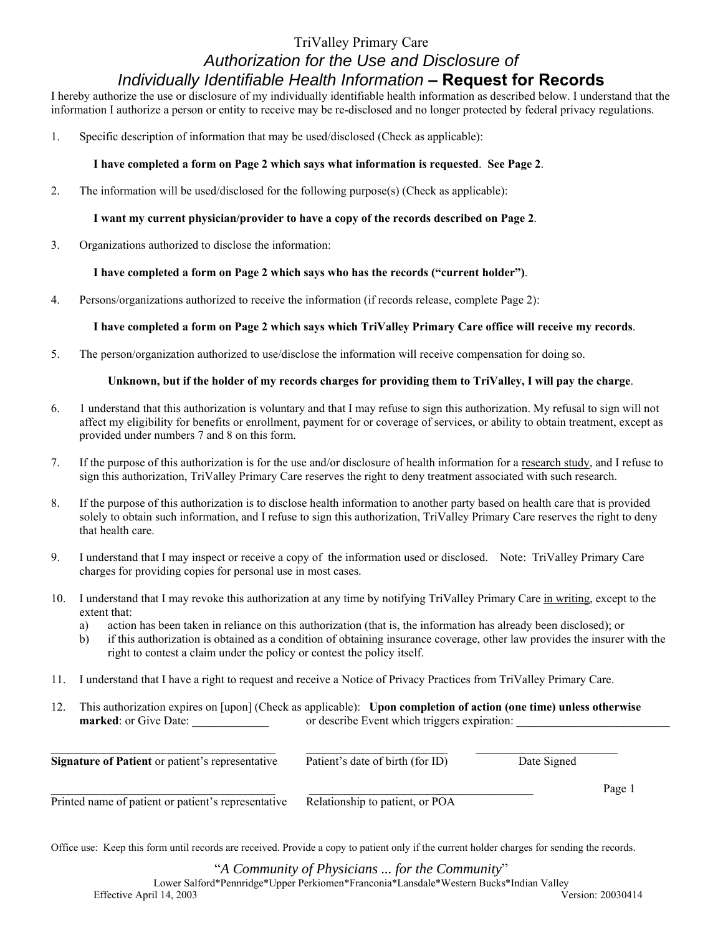# TriValley Primary Care *Authorization for the Use and Disclosure of Individually Identifiable Health Information* **– Request for Records**

I hereby authorize the use or disclosure of my individually identifiable health information as described below. I understand that the information I authorize a person or entity to receive may be re-disclosed and no longer protected by federal privacy regulations.

1. Specific description of information that may be used/disclosed (Check as applicable):

## **I have completed a form on Page 2 which says what information is requested**. **See Page 2**.

2. The information will be used/disclosed for the following purpose(s) (Check as applicable):

## **I want my current physician/provider to have a copy of the records described on Page 2**.

3. Organizations authorized to disclose the information:

### **I have completed a form on Page 2 which says who has the records ("current holder")**.

4. Persons/organizations authorized to receive the information (if records release, complete Page 2):

## **I have completed a form on Page 2 which says which TriValley Primary Care office will receive my records**.

5. The person/organization authorized to use/disclose the information will receive compensation for doing so.

#### **Unknown, but if the holder of my records charges for providing them to TriValley, I will pay the charge**.

- 6. 1 understand that this authorization is voluntary and that I may refuse to sign this authorization. My refusal to sign will not affect my eligibility for benefits or enrollment, payment for or coverage of services, or ability to obtain treatment, except as provided under numbers 7 and 8 on this form.
- 7. If the purpose of this authorization is for the use and/or disclosure of health information for a research study, and I refuse to sign this authorization, TriValley Primary Care reserves the right to deny treatment associated with such research.
- 8. If the purpose of this authorization is to disclose health information to another party based on health care that is provided solely to obtain such information, and I refuse to sign this authorization, TriValley Primary Care reserves the right to deny that health care.
- 9. I understand that I may inspect or receive a copy of the information used or disclosed. Note: TriValley Primary Care charges for providing copies for personal use in most cases.
- 10. I understand that I may revoke this authorization at any time by notifying TriValley Primary Care in writing, except to the extent that:
	- a) action has been taken in reliance on this authorization (that is, the information has already been disclosed); or
	- b) if this authorization is obtained as a condition of obtaining insurance coverage, other law provides the insurer with the right to contest a claim under the policy or contest the policy itself.
- 11. I understand that I have a right to request and receive a Notice of Privacy Practices from TriValley Primary Care.
- 12. This authorization expires on [upon] (Check as applicable): **Upon completion of action (one time) unless otherwise marked**: or Give Date: \_\_\_\_\_\_\_\_\_\_\_\_\_ or describe Event which triggers expiration: \_\_\_\_\_\_\_\_\_\_\_\_\_\_\_\_\_\_\_\_\_\_\_\_\_\_

| Signature of Patient or patient's representative    | Patient's date of birth (for ID) | Date Signed |        |
|-----------------------------------------------------|----------------------------------|-------------|--------|
| Printed name of patient or patient's representative | Relationship to patient, or POA  |             | Page 1 |

Office use: Keep this form until records are received. Provide a copy to patient only if the current holder charges for sending the records.

"*A Community of Physicians ... for the Community*" Lower Salford\*Pennridge\*Upper Perkiomen\*Franconia\*Lansdale\*Western Bucks\*Indian Valley Effective April 14, 2003